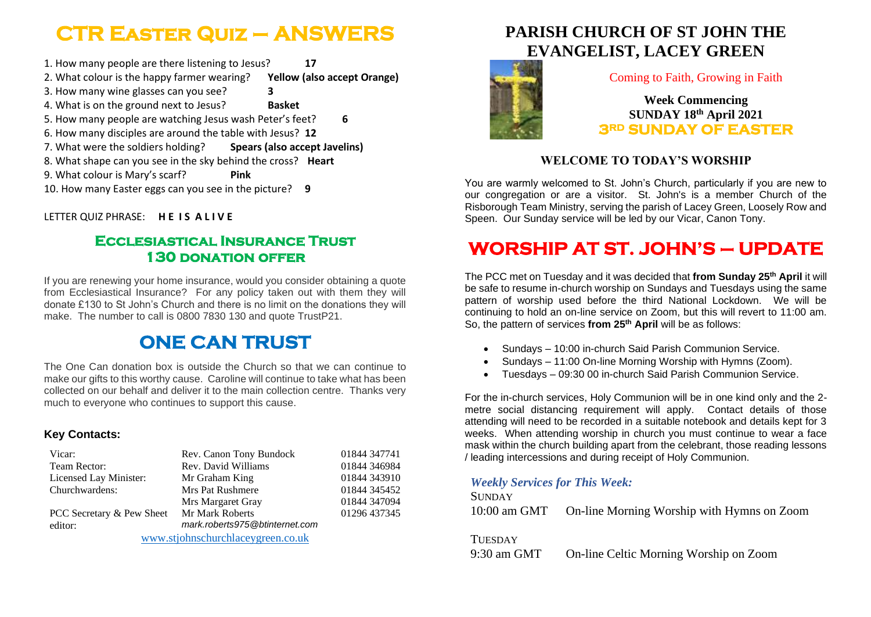# **CTR Easter Quiz – ANSWERS**

1. How many people are there listening to Jesus? **17** 2. What colour is the happy farmer wearing? **Yellow (also accept Orange)** 3. How many wine glasses can you see? **3**  4. What is on the ground next to Jesus? **Basket**  5. How many people are watching Jesus wash Peter's feet? **6** 6. How many disciples are around the table with Jesus? **12** 7. What were the soldiers holding? **Spears (also accept Javelins)** 8. What shape can you see in the sky behind the cross? **Heart** 9. What colour is Mary's scarf? **Pink** 10. How many Easter eggs can you see in the picture? **9**

LETTER QUIZ PHRASE: **H E I S A L I V E**

### **Ecclesiastical Insurance Trust 130 donation offer**

If you are renewing your home insurance, would you consider obtaining a quote from Ecclesiastical Insurance? For any policy taken out with them they will donate £130 to St John's Church and there is no limit on the donations they will make. The number to call is 0800 7830 130 and quote TrustP21.

# **ONE CAN TRUST**

The One Can donation box is outside the Church so that we can continue to make our gifts to this worthy cause. Caroline will continue to take what has been collected on our behalf and deliver it to the main collection centre. Thanks very much to everyone who continues to support this cause.

#### **Key Contacts:**

| Vicar:                            | Rev. Canon Tony Bundock        | 01844 347741 |
|-----------------------------------|--------------------------------|--------------|
| Team Rector:                      | Rev. David Williams            | 01844 346984 |
| Licensed Lay Minister:            | Mr Graham King                 | 01844 343910 |
| Churchwardens:                    | <b>Mrs Pat Rushmere</b>        | 01844 345452 |
|                                   | Mrs Margaret Gray              | 01844 347094 |
| PCC Secretary & Pew Sheet         | Mr Mark Roberts                | 01296 437345 |
| editor:                           | mark.roberts975@btinternet.com |              |
| www.stjohnschurchlaceygreen.co.uk |                                |              |

## **PARISH CHURCH OF ST JOHN THE EVANGELIST, LACEY GREEN**



Coming to Faith, Growing in Faith

### **Week Commencing SUNDAY 18 th April 2021 3RD SUNDAY OF EASTER**

### **WELCOME TO TODAY'S WORSHIP**

You are warmly welcomed to St. John's Church, particularly if you are new to our congregation or are a visitor. St. John's is a member Church of the Risborough Team Ministry, serving the parish of Lacey Green, Loosely Row and Speen. Our Sunday service will be led by our Vicar, Canon Tony.

# **WORSHIP AT ST. JOHN'S – UPDATE**

The PCC met on Tuesday and it was decided that **from Sunday 25th April** it will be safe to resume in-church worship on Sundays and Tuesdays using the same pattern of worship used before the third National Lockdown. We will be continuing to hold an on-line service on Zoom, but this will revert to 11:00 am. So, the pattern of services **from 25th April** will be as follows:

- Sundays 10:00 in-church Said Parish Communion Service.
- Sundays 11:00 On-line Morning Worship with Hymns (Zoom).
- Tuesdays 09:30 00 in-church Said Parish Communion Service.

For the in-church services, Holy Communion will be in one kind only and the 2 metre social distancing requirement will apply. Contact details of those attending will need to be recorded in a suitable notebook and details kept for 3 weeks. When attending worship in church you must continue to wear a face mask within the church building apart from the celebrant, those reading lessons / leading intercessions and during receipt of Holy Communion.

#### *Weekly Services for This Week:*

| <b>SUNDAY</b> |                                            |
|---------------|--------------------------------------------|
| 10:00 am GMT  | On-line Morning Worship with Hymns on Zoom |

#### **TUESDAY**

9:30 am GMT On-line Celtic Morning Worship on Zoom